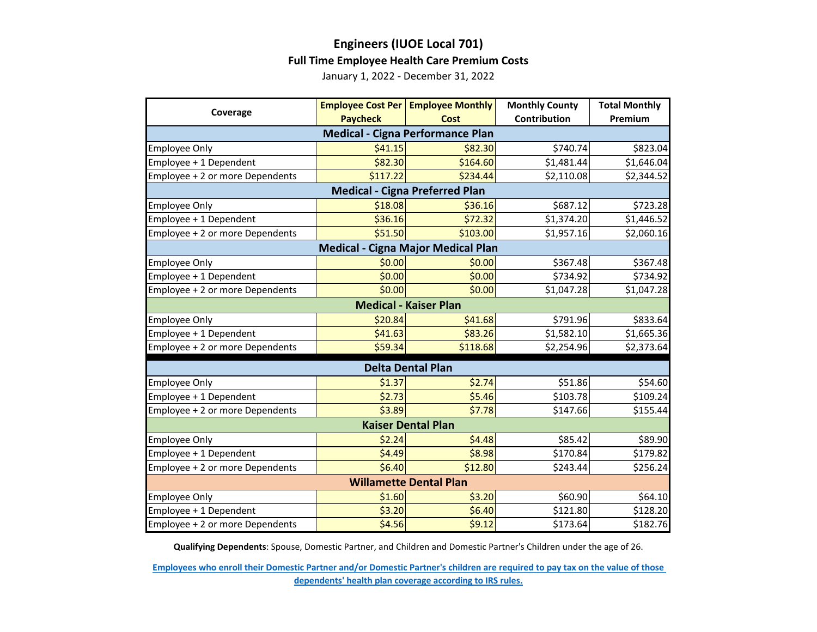## **Engineers (IUOE Local 701) Full Time Employee Health Care Premium Costs**

January 1, 2022 - December 31, 2022

| Coverage                                  |                 | <b>Employee Cost Per   Employee Monthly</b> | <b>Monthly County</b> | <b>Total Monthly</b> |  |  |  |
|-------------------------------------------|-----------------|---------------------------------------------|-----------------------|----------------------|--|--|--|
|                                           | <b>Paycheck</b> | Cost                                        | Contribution          | Premium              |  |  |  |
| <b>Medical - Cigna Performance Plan</b>   |                 |                                             |                       |                      |  |  |  |
| <b>Employee Only</b>                      | \$41.15         | \$82.30                                     | \$740.74              | \$823.04             |  |  |  |
| Employee + 1 Dependent                    | \$82.30         | \$164.60                                    | \$1,481.44            | \$1,646.04           |  |  |  |
| Employee + 2 or more Dependents           | \$117.22        | \$234.44                                    | \$2,110.08            | \$2,344.52           |  |  |  |
| <b>Medical - Cigna Preferred Plan</b>     |                 |                                             |                       |                      |  |  |  |
| <b>Employee Only</b>                      | \$18.08         | \$36.16                                     | \$687.12              | \$723.28             |  |  |  |
| Employee + 1 Dependent                    | \$36.16         | \$72.32                                     | \$1,374.20            | \$1,446.52           |  |  |  |
| Employee + 2 or more Dependents           | \$51.50         | \$103.00                                    | \$1,957.16            | \$2,060.16           |  |  |  |
| <b>Medical - Cigna Major Medical Plan</b> |                 |                                             |                       |                      |  |  |  |
| <b>Employee Only</b>                      | \$0.00          | \$0.00                                      | \$367.48              | \$367.48             |  |  |  |
| Employee + 1 Dependent                    | \$0.00          | \$0.00                                      | \$734.92              | \$734.92             |  |  |  |
| Employee + 2 or more Dependents           | \$0.00          | \$0.00                                      | \$1,047.28            | \$1,047.28           |  |  |  |
| <b>Medical - Kaiser Plan</b>              |                 |                                             |                       |                      |  |  |  |
| <b>Employee Only</b>                      | \$20.84         | \$41.68                                     | \$791.96              | \$833.64             |  |  |  |
| Employee + 1 Dependent                    | \$41.63         | \$83.26                                     | \$1,582.10            | \$1,665.36           |  |  |  |
| Employee + 2 or more Dependents           | \$59.34         | \$118.68                                    | \$2,254.96            | \$2,373.64           |  |  |  |
| <b>Delta Dental Plan</b>                  |                 |                                             |                       |                      |  |  |  |
| <b>Employee Only</b>                      | \$1.37          | \$2.74                                      | \$51.86               | \$54.60              |  |  |  |
| Employee + 1 Dependent                    | \$2.73          | \$5.46                                      | \$103.78              | \$109.24             |  |  |  |
| Employee + 2 or more Dependents           | \$3.89          | \$7.78                                      | \$147.66              | \$155.44             |  |  |  |
| <b>Kaiser Dental Plan</b>                 |                 |                                             |                       |                      |  |  |  |
| <b>Employee Only</b>                      | \$2.24          | \$4.48                                      | \$85.42               | \$89.90              |  |  |  |
| Employee + 1 Dependent                    | \$4.49          | \$8.98                                      | \$170.84              | \$179.82             |  |  |  |
| Employee + 2 or more Dependents           | \$6.40          | \$12.80                                     | \$243.44              | \$256.24             |  |  |  |
| <b>Willamette Dental Plan</b>             |                 |                                             |                       |                      |  |  |  |
| <b>Employee Only</b>                      | \$1.60          | \$3.20                                      | \$60.90               | \$64.10              |  |  |  |
| Employee + 1 Dependent                    | \$3.20          | \$6.40                                      | \$121.80              | \$128.20             |  |  |  |
| Employee + 2 or more Dependents           | \$4.56          | \$9.12                                      | \$173.64              | \$182.76             |  |  |  |

**Qualifying Dependents**: Spouse, Domestic Partner, and Children and Domestic Partner's Children under the age of 26.

**[Employees who enroll their Domestic Partner and/or Domestic Partner's children are r](https://multco.us/benefits/non-irs-eligible-dependents-domestic-partners-and-their-children)equired to pay tax on the value of those [dependents' health plan coverage according to IRS](https://multco.us/benefits/non-irs-eligible-dependents-domestic-partners-and-their-children) rules.**